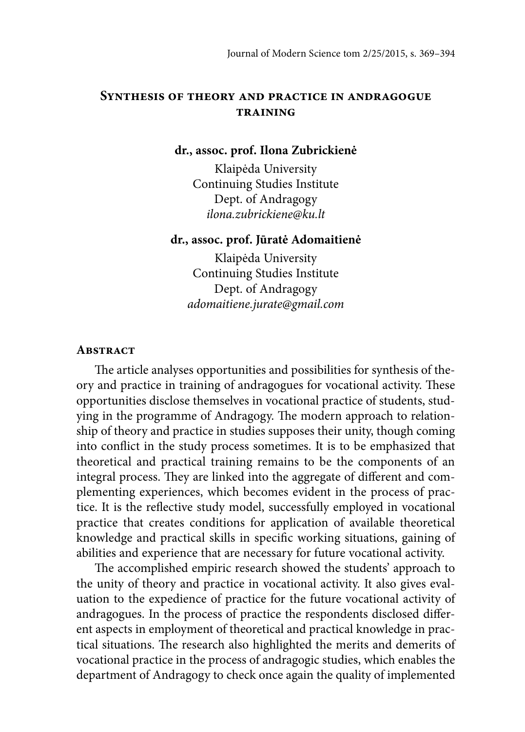## **Synthesis of theory and practice in andragogue training**

#### **dr., assoc. prof. Ilona Zubrickienė**

Klaipėda University Continuing Studies Institute Dept. of Andragogy ilona.zubrickiene@ku.lt

#### **dr., assoc. prof. Jūratė Adomaitienė**

Klaipėda University Continuing Studies Institute Dept. of Andragogy adomaitiene.jurate@gmail.com

#### **Abstract**

The article analyses opportunities and possibilities for synthesis of theory and practice in training of andragogues for vocational activity. These opportunities disclose themselves in vocational practice of students, studying in the programme of Andragogy. The modern approach to relationship of theory and practice in studies supposes their unity, though coming into conflict in the study process sometimes. It is to be emphasized that theoretical and practical training remains to be the components of an integral process. They are linked into the aggregate of different and complementing experiences, which becomes evident in the process of practice. It is the reflective study model, successfully employed in vocational practice that creates conditions for application of available theoretical knowledge and practical skills in specific working situations, gaining of abilities and experience that are necessary for future vocational activity.

The accomplished empiric research showed the students' approach to the unity of theory and practice in vocational activity. It also gives evaluation to the expedience of practice for the future vocational activity of andragogues. In the process of practice the respondents disclosed different aspects in employment of theoretical and practical knowledge in practical situations. The research also highlighted the merits and demerits of vocational practice in the process of andragogic studies, which enables the department of Andragogy to check once again the quality of implemented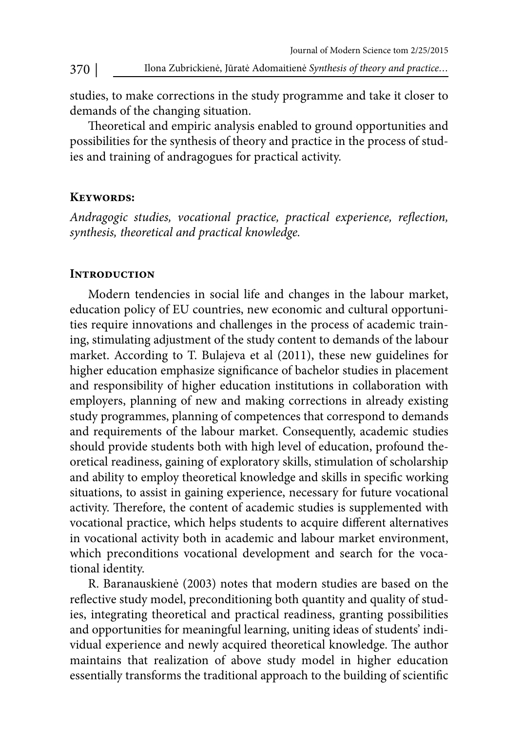studies, to make corrections in the study programme and take it closer to demands of the changing situation.

Theoretical and empiric analysis enabled to ground opportunities and possibilities for the synthesis of theory and practice in the process of studies and training of andragogues for practical activity.

### **Keywords:**

Andragogic studies, vocational practice, practical experience, reflection, synthesis, theoretical and practical knowledge.

### **Introduction**

Modern tendencies in social life and changes in the labour market, education policy of EU countries, new economic and cultural opportunities require innovations and challenges in the process of academic training, stimulating adjustment of the study content to demands of the labour market. According to T. Bulajeva et al (2011), these new guidelines for higher education emphasize significance of bachelor studies in placement and responsibility of higher education institutions in collaboration with employers, planning of new and making corrections in already existing study programmes, planning of competences that correspond to demands and requirements of the labour market. Consequently, academic studies should provide students both with high level of education, profound theoretical readiness, gaining of exploratory skills, stimulation of scholarship and ability to employ theoretical knowledge and skills in specific working situations, to assist in gaining experience, necessary for future vocational activity. Therefore, the content of academic studies is supplemented with vocational practice, which helps students to acquire different alternatives in vocational activity both in academic and labour market environment, which preconditions vocational development and search for the vocational identity.

R. Baranauskienė (2003) notes that modern studies are based on the reflective study model, preconditioning both quantity and quality of studies, integrating theoretical and practical readiness, granting possibilities and opportunities for meaningful learning, uniting ideas of students' individual experience and newly acquired theoretical knowledge. The author maintains that realization of above study model in higher education essentially transforms the traditional approach to the building of scientific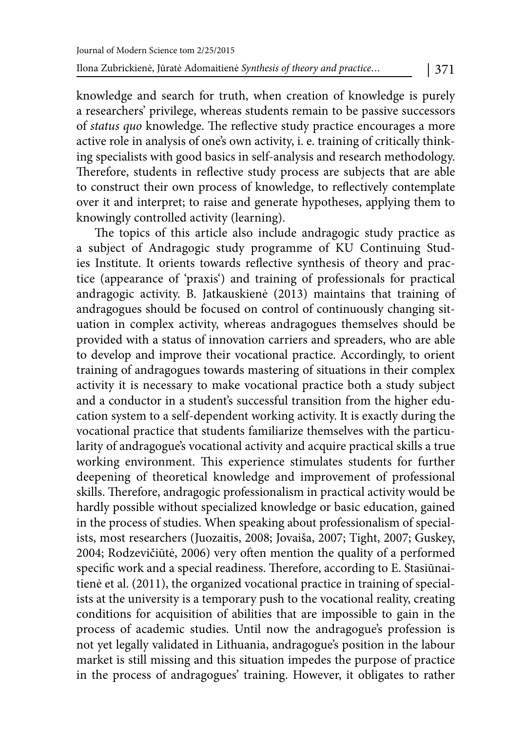knowledge and search for truth, when creation of knowledge is purely a researchers' privilege, whereas students remain to be passive successors of status quo knowledge. The reflective study practice encourages a more active role in analysis of one's own activity, i. e. training of critically thinking specialists with good basics in self-analysis and research methodology. Therefore, students in reflective study process are subjects that are able to construct their own process of knowledge, to reflectively contemplate over it and interpret; to raise and generate hypotheses, applying them to knowingly controlled activity (learning).

The topics of this article also include andragogic study practice as a subject of Andragogic study programme of KU Continuing Studies Institute. It orients towards reflective synthesis of theory and practice (appearance of 'praxis') and training of professionals for practical andragogic activity. B. Jatkauskienė (2013) maintains that training of andragogues should be focused on control of continuously changing situation in complex activity, whereas andragogues themselves should be provided with a status of innovation carriers and spreaders, who are able to develop and improve their vocational practice. Accordingly, to orient training of andragogues towards mastering of situations in their complex activity it is necessary to make vocational practice both a study subject and a conductor in a student's successful transition from the higher education system to a self-dependent working activity. It is exactly during the vocational practice that students familiarize themselves with the particularity of andragogue's vocational activity and acquire practical skills a true working environment. This experience stimulates students for further deepening of theoretical knowledge and improvement of professional skills. Therefore, andragogic professionalism in practical activity would be hardly possible without specialized knowledge or basic education, gained in the process of studies. When speaking about professionalism of specialists, most researchers (Juozaitis, 2008; Jovaiša, 2007; Tight, 2007; Guskey, 2004; Rodzevičiūtė, 2006) very often mention the quality of a performed specific work and a special readiness. Therefore, according to E. Stasiūnaitienė et al. (2011), the organized vocational practice in training of specialists at the university is a temporary push to the vocational reality, creating conditions for acquisition of abilities that are impossible to gain in the process of academic studies. Until now the andragogue's profession is not yet legally validated in Lithuania, andragogue's position in the labour market is still missing and this situation impedes the purpose of practice in the process of andragogues' training. However, it obligates to rather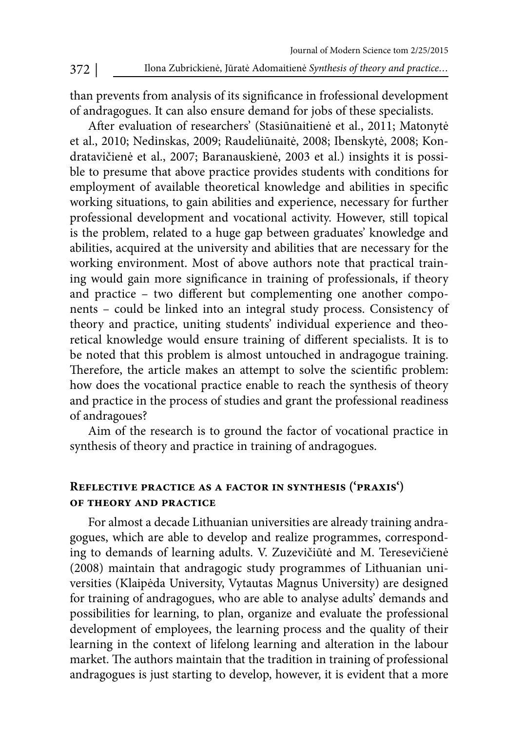than prevents from analysis of its significance in frofessional development of andragogues. It can also ensure demand for jobs of these specialists.

After evaluation of researchers' (Stasiūnaitienė et al., 2011; Matonytė et al., 2010; Nedinskas, 2009; Raudeliūnaitė, 2008; Ibenskytė, 2008; Kondratavičienė et al., 2007; Baranauskienė, 2003 et al.) insights it is possible to presume that above practice provides students with conditions for employment of available theoretical knowledge and abilities in specific working situations, to gain abilities and experience, necessary for further professional development and vocational activity. However, still topical is the problem, related to a huge gap between graduates' knowledge and abilities, acquired at the university and abilities that are necessary for the working environment. Most of above authors note that practical training would gain more significance in training of professionals, if theory and practice - two different but complementing one another components – could be linked into an integral study process. Consistency of theory and practice, uniting students' individual experience and theoretical knowledge would ensure training of different specialists. It is to be noted that this problem is almost untouched in andragogue training. Therefore, the article makes an attempt to solve the scientific problem: how does the vocational practice enable to reach the synthesis of theory and practice in the process of studies and grant the professional readiness of andragoues?

Aim of the research is to ground the factor of vocational practice in synthesis of theory and practice in training of andragogues.

## **Reflective practice as a factor in synthesis ('praxis') of theory and practice**

For almost a decade Lithuanian universities are already training andragogues, which are able to develop and realize programmes, corresponding to demands of learning adults. V. Zuzevičiūtė and M. Teresevičienė (2008) maintain that andragogic study programmes of Lithuanian universities (Klaipėda University, Vytautas Magnus University) are designed for training of andragogues, who are able to analyse adults' demands and possibilities for learning, to plan, organize and evaluate the professional development of employees, the learning process and the quality of their learning in the context of lifelong learning and alteration in the labour market. The authors maintain that the tradition in training of professional andragogues is just starting to develop, however, it is evident that a more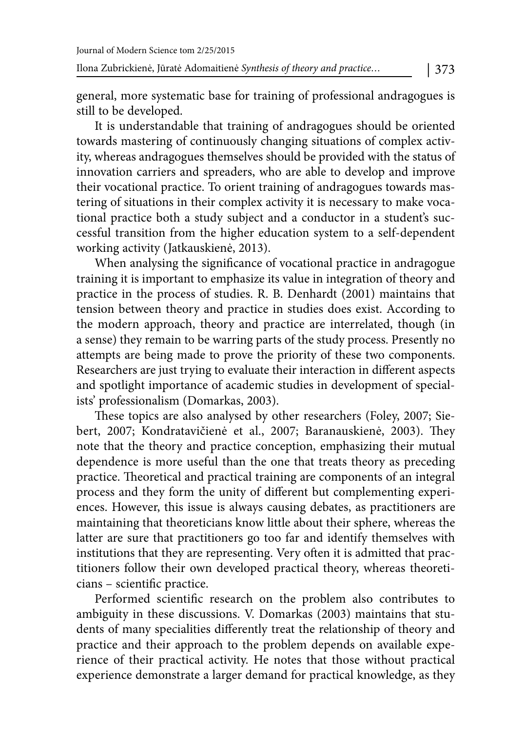general, more systematic base for training of professional andragogues is still to be developed.

It is understandable that training of andragogues should be oriented towards mastering of continuously changing situations of complex activity, whereas andragogues themselves should be provided with the status of innovation carriers and spreaders, who are able to develop and improve their vocational practice. To orient training of andragogues towards mastering of situations in their complex activity it is necessary to make vocational practice both a study subject and a conductor in a student's successful transition from the higher education system to a self-dependent working activity (Jatkauskienė, 2013).

When analysing the significance of vocational practice in andragogue training it is important to emphasize its value in integration of theory and practice in the process of studies. R. B. Denhardt (2001) maintains that tension between theory and practice in studies does exist. According to the modern approach, theory and practice are interrelated, though (in a sense) they remain to be warring parts of the study process. Presently no attempts are being made to prove the priority of these two components. Researchers are just trying to evaluate their interaction in different aspects and spotlight importance of academic studies in development of specialists' professionalism (Domarkas, 2003).

These topics are also analysed by other researchers (Foley, 2007; Siebert, 2007; Kondratavičienė et al., 2007; Baranauskienė, 2003). They note that the theory and practice conception, emphasizing their mutual dependence is more useful than the one that treats theory as preceding practice. Theoretical and practical training are components of an integral process and they form the unity of different but complementing experiences. However, this issue is always causing debates, as practitioners are maintaining that theoreticians know little about their sphere, whereas the latter are sure that practitioners go too far and identify themselves with institutions that they are representing. Very often it is admitted that practitioners follow their own developed practical theory, whereas theoreticians - scientific practice.

Performed scientific research on the problem also contributes to ambiguity in these discussions. V. Domarkas (2003) maintains that students of many specialities differently treat the relationship of theory and practice and their approach to the problem depends on available experience of their practical activity. He notes that those without practical experience demonstrate a larger demand for practical knowledge, as they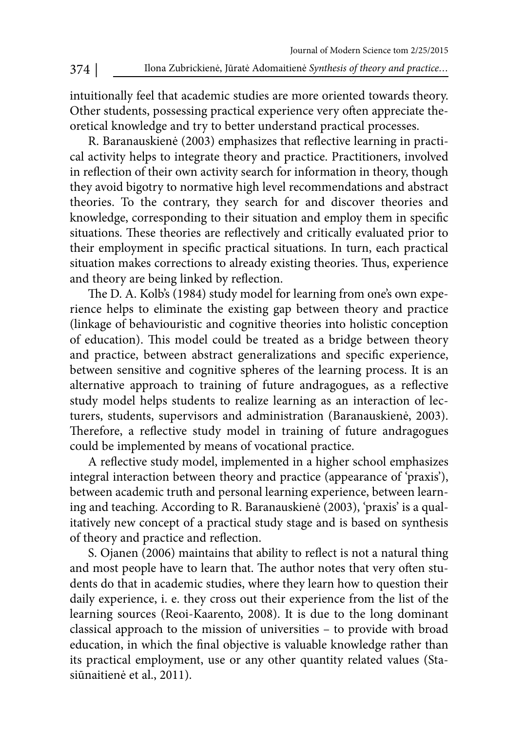intuitionally feel that academic studies are more oriented towards theory. Other students, possessing practical experience very often appreciate theoretical knowledge and try to better understand practical processes.

R. Baranauskienė (2003) emphasizes that reflective learning in practical activity helps to integrate theory and practice. Practitioners, involved in reflection of their own activity search for information in theory, though they avoid bigotry to normative high level recommendations and abstract theories. To the contrary, they search for and discover theories and knowledge, corresponding to their situation and employ them in specific situations. These theories are reflectively and critically evaluated prior to their employment in specific practical situations. In turn, each practical situation makes corrections to already existing theories. Thus, experience and theory are being linked by reflection.

The D. A. Kolb's (1984) study model for learning from one's own experience helps to eliminate the existing gap between theory and practice (linkage of behaviouristic and cognitive theories into holistic conception of education). This model could be treated as a bridge between theory and practice, between abstract generalizations and specific experience, between sensitive and cognitive spheres of the learning process. It is an alternative approach to training of future andragogues, as a reflective study model helps students to realize learning as an interaction of lecturers, students, supervisors and administration (Baranauskienė, 2003). Therefore, a reflective study model in training of future andragogues could be implemented by means of vocational practice.

A reflective study model, implemented in a higher school emphasizes integral interaction between theory and practice (appearance of 'praxis'), between academic truth and personal learning experience, between learning and teaching. According to R. Baranauskienė (2003), 'praxis' is a qualitatively new concept of a practical study stage and is based on synthesis of theory and practice and reflection.

S. Ojanen (2006) maintains that ability to reflect is not a natural thing and most people have to learn that. The author notes that very often students do that in academic studies, where they learn how to question their daily experience, i. e. they cross out their experience from the list of the learning sources (Reoi-Kaarento, 2008). It is due to the long dominant classical approach to the mission of universities – to provide with broad education, in which the final objective is valuable knowledge rather than its practical employment, use or any other quantity related values (Stasiūnaitienė et al., 2011).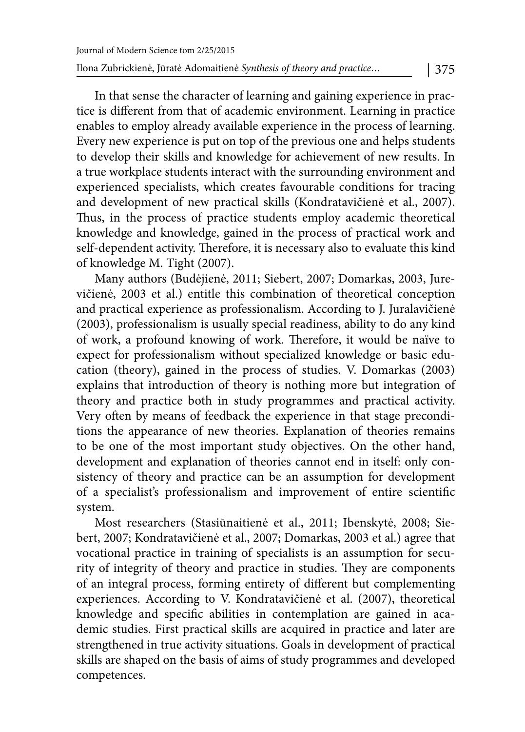In that sense the character of learning and gaining experience in practice is different from that of academic environment. Learning in practice enables to employ already available experience in the process of learning. Every new experience is put on top of the previous one and helps students to develop their skills and knowledge for achievement of new results. In a true workplace students interact with the surrounding environment and experienced specialists, which creates favourable conditions for tracing and development of new practical skills (Kondratavičienė et al., 2007). Thus, in the process of practice students employ academic theoretical knowledge and knowledge, gained in the process of practical work and self-dependent activity. Therefore, it is necessary also to evaluate this kind of knowledge M. Tight (2007).

Many authors (Budėjienė, 2011; Siebert, 2007; Domarkas, 2003, Jurevičienė, 2003 et al.) entitle this combination of theoretical conception and practical experience as professionalism. According to J. Juralavičienė (2003), professionalism is usually special readiness, ability to do any kind of work, a profound knowing of work. Therefore, it would be naïve to expect for professionalism without specialized knowledge or basic education (theory), gained in the process of studies. V. Domarkas (2003) explains that introduction of theory is nothing more but integration of theory and practice both in study programmes and practical activity. Very often by means of feedback the experience in that stage preconditions the appearance of new theories. Explanation of theories remains to be one of the most important study objectives. On the other hand, development and explanation of theories cannot end in itself: only consistency of theory and practice can be an assumption for development of a specialist's professionalism and improvement of entire scientific system.

Most researchers (Stasiūnaitienė et al., 2011; Ibenskytė, 2008; Siebert, 2007; Kondratavičienė et al., 2007; Domarkas, 2003 et al.) agree that vocational practice in training of specialists is an assumption for security of integrity of theory and practice in studies. They are components of an integral process, forming entirety of different but complementing experiences. According to V. Kondratavičienė et al. (2007), theoretical knowledge and specific abilities in contemplation are gained in academic studies. First practical skills are acquired in practice and later are strengthened in true activity situations. Goals in development of practical skills are shaped on the basis of aims of study programmes and developed competences.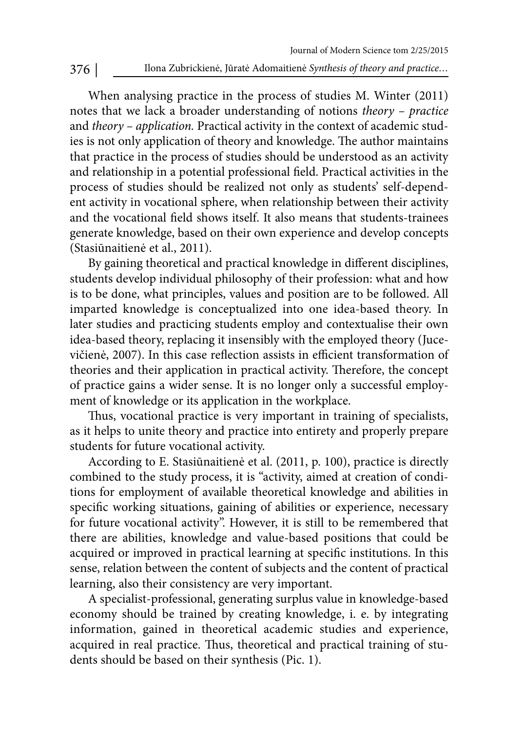When analysing practice in the process of studies M. Winter (2011) notes that we lack a broader understanding of notions theory – practice and theory – application. Practical activity in the context of academic studies is not only application of theory and knowledge. The author maintains that practice in the process of studies should be understood as an activity and relationship in a potential professional field. Practical activities in the process of studies should be realized not only as students' self-dependent activity in vocational sphere, when relationship between their activity and the vocational field shows itself. It also means that students-trainees generate knowledge, based on their own experience and develop concepts (Stasiūnaitienė et al., 2011).

By gaining theoretical and practical knowledge in different disciplines, students develop individual philosophy of their profession: what and how is to be done, what principles, values and position are to be followed. All imparted knowledge is conceptualized into one idea-based theory. In later studies and practicing students employ and contextualise their own idea-based theory, replacing it insensibly with the employed theory (Jucevičienė, 2007). In this case reflection assists in efficient transformation of theories and their application in practical activity. Therefore, the concept of practice gains a wider sense. It is no longer only a successful employment of knowledge or its application in the workplace.

Thus, vocational practice is very important in training of specialists, as it helps to unite theory and practice into entirety and properly prepare students for future vocational activity.

According to E. Stasiūnaitienė et al. (2011, p. 100), practice is directly combined to the study process, it is "activity, aimed at creation of conditions for employment of available theoretical knowledge and abilities in specific working situations, gaining of abilities or experience, necessary for future vocational activity". However, it is still to be remembered that there are abilities, knowledge and value-based positions that could be acquired or improved in practical learning at specific institutions. In this sense, relation between the content of subjects and the content of practical learning, also their consistency are very important.

A specialist-professional, generating surplus value in knowledge-based economy should be trained by creating knowledge, i. e. by integrating information, gained in theoretical academic studies and experience, acquired in real practice. Thus, theoretical and practical training of students should be based on their synthesis (Pic. 1).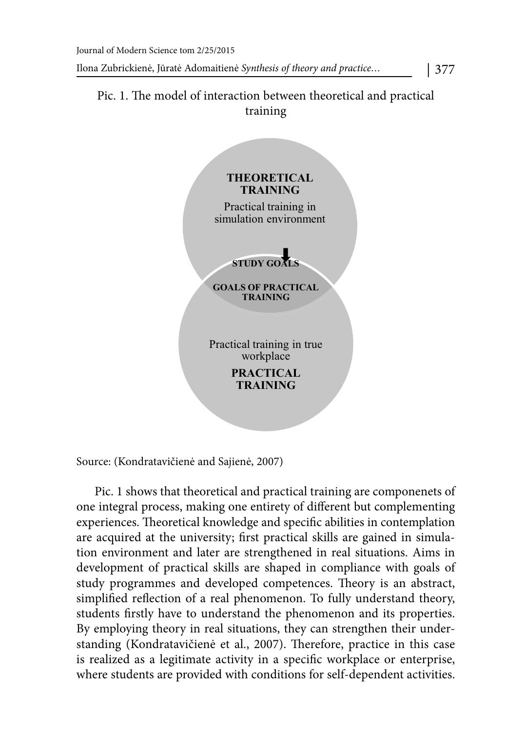# Pic. 1. The model of interaction between theoretical and practical training



Source: (Kondratavičienė and Sajienė, 2007)

Pic. 1 shows that theoretical and practical training are componenets of one integral process, making one entirety of different but complementing experiences. Theoretical knowledge and specific abilities in contemplation are acquired at the university; first practical skills are gained in simulation environment and later are strengthened in real situations. Aims in development of practical skills are shaped in compliance with goals of study programmes and developed competences. Theory is an abstract, simplified reflection of a real phenomenon. To fully understand theory, students firstly have to understand the phenomenon and its properties. By employing theory in real situations, they can strengthen their understanding (Kondratavičienė et al., 2007). Therefore, practice in this case is realized as a legitimate activity in a specific workplace or enterprise, where students are provided with conditions for self-dependent activities.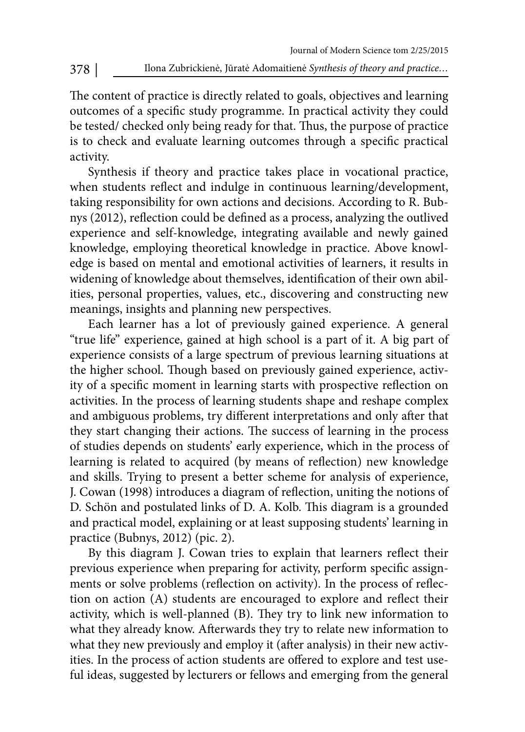The content of practice is directly related to goals, objectives and learning outcomes of a specific study programme. In practical activity they could be tested/ checked only being ready for that. Thus, the purpose of practice is to check and evaluate learning outcomes through a specific practical activity.

Synthesis if theory and practice takes place in vocational practice, when students reflect and indulge in continuous learning/development, taking responsibility for own actions and decisions. According to R. Bubnys (2012), reflection could be defined as a process, analyzing the outlived experience and self-knowledge, integrating available and newly gained knowledge, employing theoretical knowledge in practice. Above knowledge is based on mental and emotional activities of learners, it results in widening of knowledge about themselves, identification of their own abilities, personal properties, values, etc., discovering and constructing new meanings, insights and planning new perspectives.

Each learner has a lot of previously gained experience. A general "true life" experience, gained at high school is a part of it. A big part of experience consists of a large spectrum of previous learning situations at the higher school. Though based on previously gained experience, activity of a specific moment in learning starts with prospective reflection on activities. In the process of learning students shape and reshape complex and ambiguous problems, try different interpretations and only after that they start changing their actions. The success of learning in the process of studies depends on students' early experience, which in the process of learning is related to acquired (by means of reflection) new knowledge and skills. Trying to present a better scheme for analysis of experience, J. Cowan (1998) introduces a diagram of reflection, uniting the notions of D. Schön and postulated links of D. A. Kolb. This diagram is a grounded and practical model, explaining or at least supposing students' learning in practice (Bubnys, 2012) (pic. 2).

By this diagram J. Cowan tries to explain that learners reflect their previous experience when preparing for activity, perform specific assignments or solve problems (reflection on activity). In the process of reflection on action (A) students are encouraged to explore and reflect their activity, which is well-planned (B). They try to link new information to what they already know. Afterwards they try to relate new information to what they new previously and employ it (after analysis) in their new activities. In the process of action students are offered to explore and test useful ideas, suggested by lecturers or fellows and emerging from the general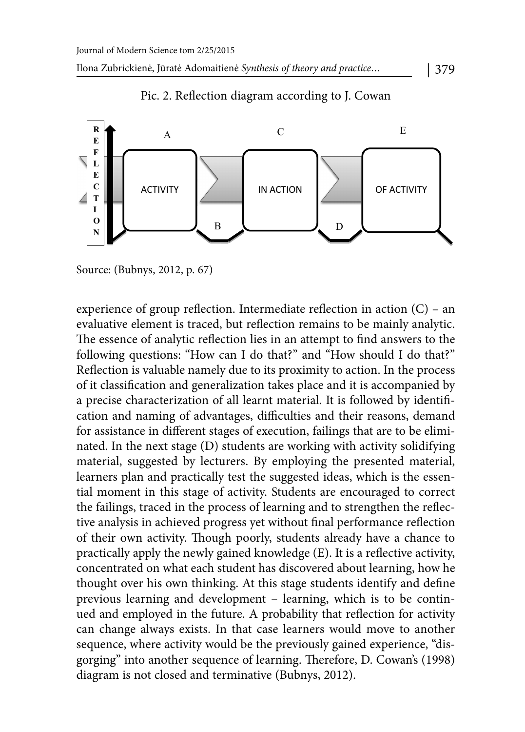

# Pic. 2. Reflection diagram according to J. Cowan

Source: (Bubnys, 2012, p. 67)

experience of group reflection. Intermediate reflection in action  $(C)$  – an evaluative element is traced, but reflection remains to be mainly analytic. The essence of analytic reflection lies in an attempt to find answers to the following questions: "How can I do that?" and "How should I do that?" Reflection is valuable namely due to its proximity to action. In the process of it classification and generalization takes place and it is accompanied by a precise characterization of all learnt material. It is followed by identification and naming of advantages, difficulties and their reasons, demand for assistance in different stages of execution, failings that are to be eliminated. In the next stage (D) students are working with activity solidifying material, suggested by lecturers. By employing the presented material, learners plan and practically test the suggested ideas, which is the essential moment in this stage of activity. Students are encouraged to correct the failings, traced in the process of learning and to strengthen the reflective analysis in achieved progress yet without final performance reflection of their own activity. Though poorly, students already have a chance to practically apply the newly gained knowledge (E). It is a reflective activity, concentrated on what each student has discovered about learning, how he thought over his own thinking. At this stage students identify and define previous learning and development – learning, which is to be continued and employed in the future. A probability that reflection for activity can change always exists. In that case learners would move to another sequence, where activity would be the previously gained experience, "disgorging" into another sequence of learning. Therefore, D. Cowan's (1998) diagram is not closed and terminative (Bubnys, 2012).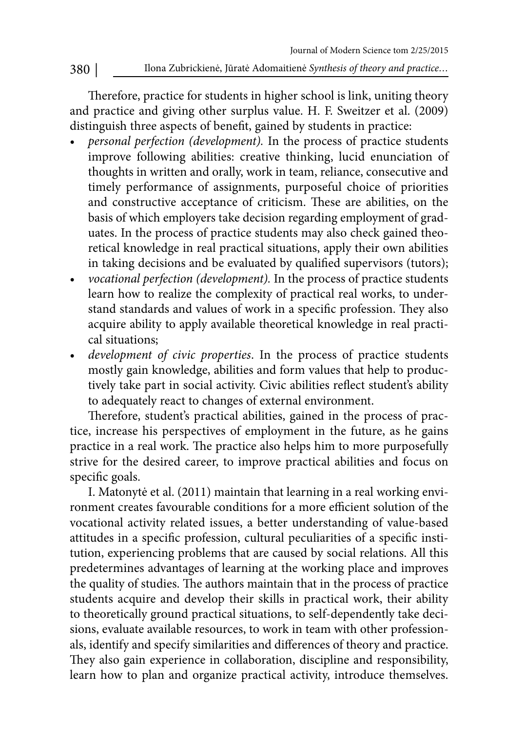Therefore, practice for students in higher school is link, uniting theory and practice and giving other surplus value. H. F. Sweitzer et al. (2009) distinguish three aspects of benefit, gained by students in practice:

- personal perfection (development). In the process of practice students improve following abilities: creative thinking, lucid enunciation of thoughts in written and orally, work in team, reliance, consecutive and timely performance of assignments, purposeful choice of priorities and constructive acceptance of criticism. These are abilities, on the basis of which employers take decision regarding employment of graduates. In the process of practice students may also check gained theoretical knowledge in real practical situations, apply their own abilities in taking decisions and be evaluated by qualified supervisors (tutors);
- vocational perfection (development). In the process of practice students learn how to realize the complexity of practical real works, to understand standards and values of work in a specific profession. They also acquire ability to apply available theoretical knowledge in real practical situations;
- development of civic properties. In the process of practice students mostly gain knowledge, abilities and form values that help to productively take part in social activity. Civic abilities reflect student's ability to adequately react to changes of external environment.

Therefore, student's practical abilities, gained in the process of practice, increase his perspectives of employment in the future, as he gains practice in a real work. The practice also helps him to more purposefully strive for the desired career, to improve practical abilities and focus on specific goals.

I. Matonytė et al. (2011) maintain that learning in a real working environment creates favourable conditions for a more efficient solution of the vocational activity related issues, a better understanding of value-based attitudes in a specific profession, cultural peculiarities of a specific institution, experiencing problems that are caused by social relations. All this predetermines advantages of learning at the working place and improves the quality of studies. The authors maintain that in the process of practice students acquire and develop their skills in practical work, their ability to theoretically ground practical situations, to self-dependently take decisions, evaluate available resources, to work in team with other professionals, identify and specify similarities and differences of theory and practice. They also gain experience in collaboration, discipline and responsibility, learn how to plan and organize practical activity, introduce themselves.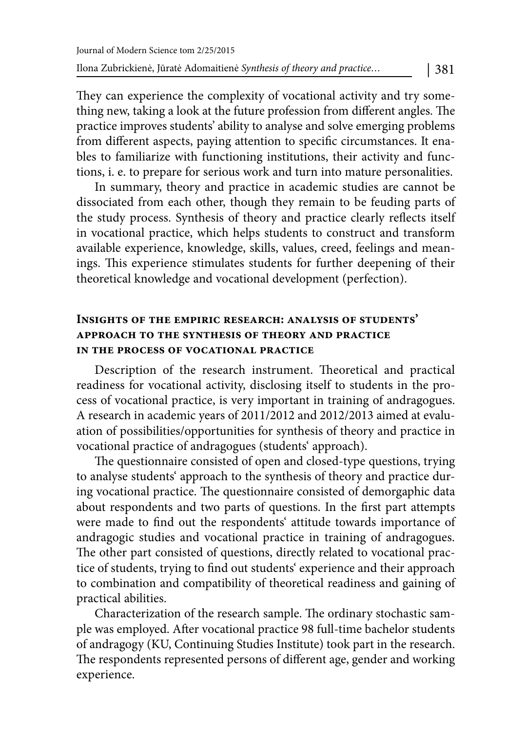They can experience the complexity of vocational activity and try something new, taking a look at the future profession from different angles. The practice improves students' ability to analyse and solve emerging problems from different aspects, paying attention to specific circumstances. It enables to familiarize with functioning institutions, their activity and functions, i. e. to prepare for serious work and turn into mature personalities.

In summary, theory and practice in academic studies are cannot be dissociated from each other, though they remain to be feuding parts of the study process. Synthesis of theory and practice clearly reflects itself in vocational practice, which helps students to construct and transform available experience, knowledge, skills, values, creed, feelings and meanings. This experience stimulates students for further deepening of their theoretical knowledge and vocational development (perfection).

## **Insights of the empiric research: analysis of students' approach to the synthesis of theory and practice in the process of vocational practice**

Description of the research instrument. Theoretical and practical readiness for vocational activity, disclosing itself to students in the process of vocational practice, is very important in training of andragogues. A research in academic years of 2011/2012 and 2012/2013 aimed at evaluation of possibilities/opportunities for synthesis of theory and practice in vocational practice of andragogues (students' approach).

The questionnaire consisted of open and closed-type questions, trying to analyse students' approach to the synthesis of theory and practice during vocational practice. The questionnaire consisted of demorgaphic data about respondents and two parts of questions. In the first part attempts were made to find out the respondents' attitude towards importance of andragogic studies and vocational practice in training of andragogues. The other part consisted of questions, directly related to vocational practice of students, trying to find out students' experience and their approach to combination and compatibility of theoretical readiness and gaining of practical abilities.

Characterization of the research sample. The ordinary stochastic sample was employed. After vocational practice 98 full-time bachelor students of andragogy (KU, Continuing Studies Institute) took part in the research. The respondents represented persons of different age, gender and working experience.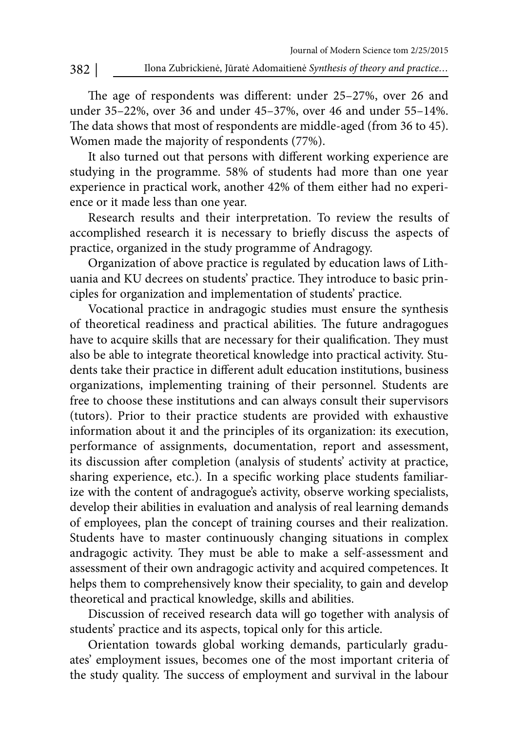The age of respondents was different: under 25-27%, over 26 and under 35–22%, over 36 and under 45–37%, over 46 and under 55–14%. The data shows that most of respondents are middle-aged (from 36 to 45). Women made the majority of respondents (77%).

It also turned out that persons with different working experience are studying in the programme. 58% of students had more than one year experience in practical work, another 42% of them either had no experience or it made less than one year.

Research results and their interpretation. To review the results of accomplished research it is necessary to briefly discuss the aspects of practice, organized in the study programme of Andragogy.

Organization of above practice is regulated by education laws of Lithuania and KU decrees on students' practice. They introduce to basic principles for organization and implementation of students' practice.

Vocational practice in andragogic studies must ensure the synthesis of theoretical readiness and practical abilities. The future andragogues have to acquire skills that are necessary for their qualification. They must also be able to integrate theoretical knowledge into practical activity. Students take their practice in different adult education institutions, business organizations, implementing training of their personnel. Students are free to choose these institutions and can always consult their supervisors (tutors). Prior to their practice students are provided with exhaustive information about it and the principles of its organization: its execution, performance of assignments, documentation, report and assessment, its discussion after completion (analysis of students' activity at practice, sharing experience, etc.). In a specific working place students familiarize with the content of andragogue's activity, observe working specialists, develop their abilities in evaluation and analysis of real learning demands of employees, plan the concept of training courses and their realization. Students have to master continuously changing situations in complex andragogic activity. They must be able to make a self-assessment and assessment of their own andragogic activity and acquired competences. It helps them to comprehensively know their speciality, to gain and develop theoretical and practical knowledge, skills and abilities.

Discussion of received research data will go together with analysis of students' practice and its aspects, topical only for this article.

Orientation towards global working demands, particularly graduates' employment issues, becomes one of the most important criteria of the study quality. The success of employment and survival in the labour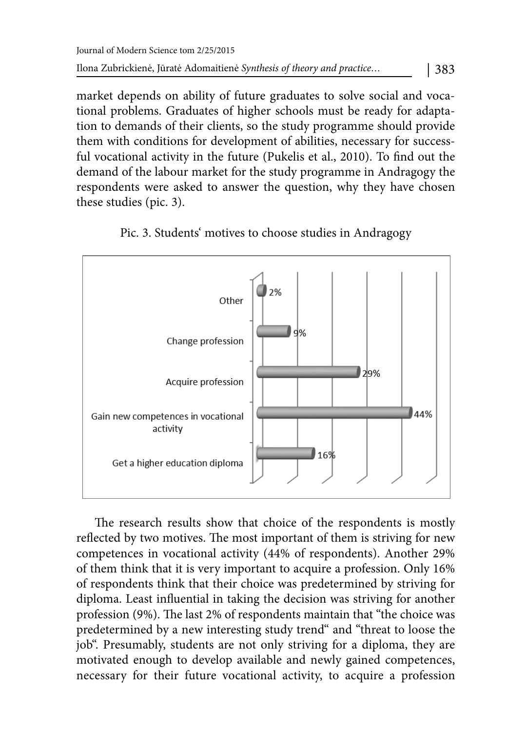market depends on ability of future graduates to solve social and vocational problems. Graduates of higher schools must be ready for adaptation to demands of their clients, so the study programme should provide them with conditions for development of abilities, necessary for successful vocational activity in the future (Pukelis et al., 2010). To find out the demand of the labour market for the study programme in Andragogy the respondents were asked to answer the question, why they have chosen these studies (pic. 3).





The research results show that choice of the respondents is mostly reflected by two motives. The most important of them is striving for new competences in vocational activity (44% of respondents). Another 29% of them think that it is very important to acquire a profession. Only 16% of respondents think that their choice was predetermined by striving for diploma. Least influential in taking the decision was striving for another profession (9%). The last 2% of respondents maintain that "the choice was predetermined by a new interesting study trend" and "threat to loose the job". Presumably, students are not only striving for a diploma, they are motivated enough to develop available and newly gained competences, necessary for their future vocational activity, to acquire a profession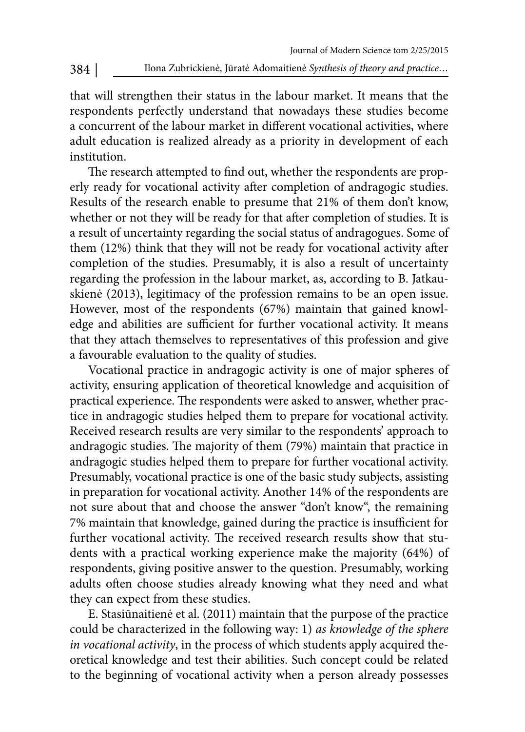that will strengthen their status in the labour market. It means that the respondents perfectly understand that nowadays these studies become a concurrent of the labour market in different vocational activities, where adult education is realized already as a priority in development of each institution.

The research attempted to find out, whether the respondents are properly ready for vocational activity after completion of andragogic studies. Results of the research enable to presume that 21% of them don't know, whether or not they will be ready for that after completion of studies. It is a result of uncertainty regarding the social status of andragogues. Some of them (12%) think that they will not be ready for vocational activity after completion of the studies. Presumably, it is also a result of uncertainty regarding the profession in the labour market, as, according to B. Jatkauskienė (2013), legitimacy of the profession remains to be an open issue. However, most of the respondents (67%) maintain that gained knowledge and abilities are sufficient for further vocational activity. It means that they attach themselves to representatives of this profession and give a favourable evaluation to the quality of studies.

Vocational practice in andragogic activity is one of major spheres of activity, ensuring application of theoretical knowledge and acquisition of practical experience. The respondents were asked to answer, whether practice in andragogic studies helped them to prepare for vocational activity. Received research results are very similar to the respondents' approach to andragogic studies. The majority of them (79%) maintain that practice in andragogic studies helped them to prepare for further vocational activity. Presumably, vocational practice is one of the basic study subjects, assisting in preparation for vocational activity. Another 14% of the respondents are not sure about that and choose the answer "don't know", the remaining 7% maintain that knowledge, gained during the practice is insufficient for further vocational activity. The received research results show that students with a practical working experience make the majority (64%) of respondents, giving positive answer to the question. Presumably, working adults often choose studies already knowing what they need and what they can expect from these studies.

E. Stasiūnaitienė et al. (2011) maintain that the purpose of the practice could be characterized in the following way: 1) as knowledge of the sphere in vocational activity, in the process of which students apply acquired theoretical knowledge and test their abilities. Such concept could be related to the beginning of vocational activity when a person already possesses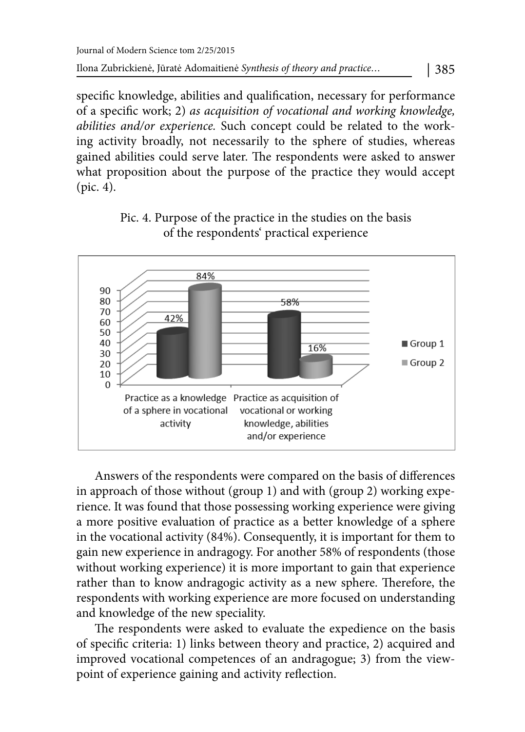specific knowledge, abilities and qualification, necessary for performance of a specific work; 2) as acquisition of vocational and working knowledge, abilities and/or experience. Such concept could be related to the working activity broadly, not necessarily to the sphere of studies, whereas gained abilities could serve later. The respondents were asked to answer what proposition about the purpose of the practice they would accept (pic. 4).



# Pic. 4. Purpose of the practice in the studies on the basis of the respondents' practical experience

Answers of the respondents were compared on the basis of differences in approach of those without (group 1) and with (group 2) working experience. It was found that those possessing working experience were giving a more positive evaluation of practice as a better knowledge of a sphere in the vocational activity (84%). Consequently, it is important for them to gain new experience in andragogy. For another 58% of respondents (those without working experience) it is more important to gain that experience rather than to know andragogic activity as a new sphere. Therefore, the respondents with working experience are more focused on understanding and knowledge of the new speciality.

The respondents were asked to evaluate the expedience on the basis of specific criteria: 1) links between theory and practice, 2) acquired and improved vocational competences of an andragogue; 3) from the viewpoint of experience gaining and activity reflection.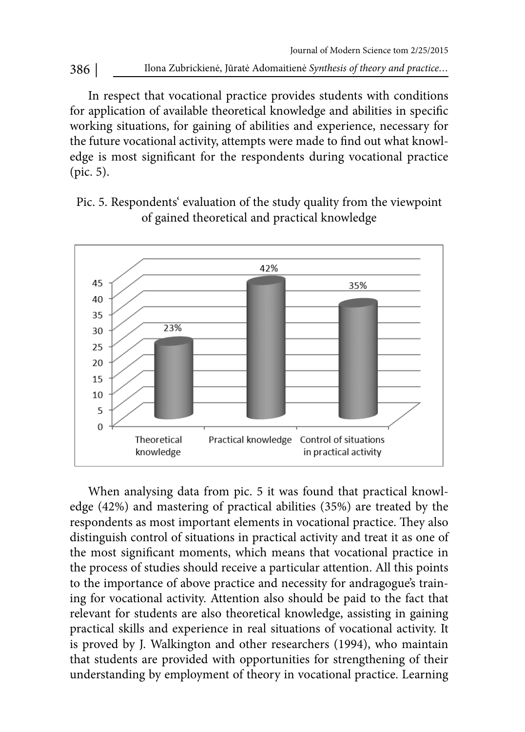386 | Ilona Zubrickienė, Jūratė Adomaitienė Synthesis of theory and practice...

In respect that vocational practice provides students with conditions for application of available theoretical knowledge and abilities in specific working situations, for gaining of abilities and experience, necessary for the future vocational activity, attempts were made to find out what knowledge is most significant for the respondents during vocational practice (pic. 5).

Pic. 5. Respondents' evaluation of the study quality from the viewpoint of gained theoretical and practical knowledge



When analysing data from pic. 5 it was found that practical knowledge (42%) and mastering of practical abilities (35%) are treated by the respondents as most important elements in vocational practice. They also distinguish control of situations in practical activity and treat it as one of the most significant moments, which means that vocational practice in the process of studies should receive a particular attention. All this points to the importance of above practice and necessity for andragogue's training for vocational activity. Attention also should be paid to the fact that relevant for students are also theoretical knowledge, assisting in gaining practical skills and experience in real situations of vocational activity. It is proved by J. Walkington and other researchers (1994), who maintain that students are provided with opportunities for strengthening of their understanding by employment of theory in vocational practice. Learning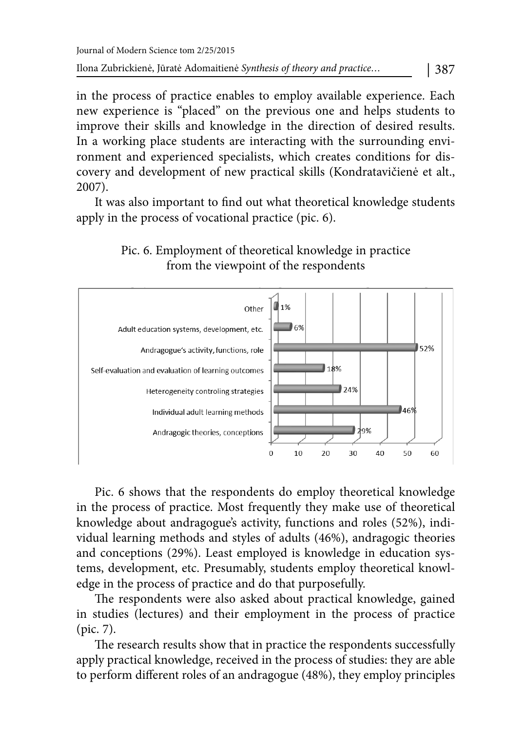in the process of practice enables to employ available experience. Each new experience is "placed" on the previous one and helps students to improve their skills and knowledge in the direction of desired results. In a working place students are interacting with the surrounding environment and experienced specialists, which creates conditions for discovery and development of new practical skills (Kondratavičienė et alt., 2007).

It was also important to find out what theoretical knowledge students apply in the process of vocational practice (pic. 6).





Pic. 6 shows that the respondents do employ theoretical knowledge in the process of practice. Most frequently they make use of theoretical knowledge about andragogue's activity, functions and roles (52%), individual learning methods and styles of adults (46%), andragogic theories and conceptions (29%). Least employed is knowledge in education systems, development, etc. Presumably, students employ theoretical knowledge in the process of practice and do that purposefully.

The respondents were also asked about practical knowledge, gained in studies (lectures) and their employment in the process of practice (pic. 7).

The research results show that in practice the respondents successfully apply practical knowledge, received in the process of studies: they are able to perform different roles of an andragogue (48%), they employ principles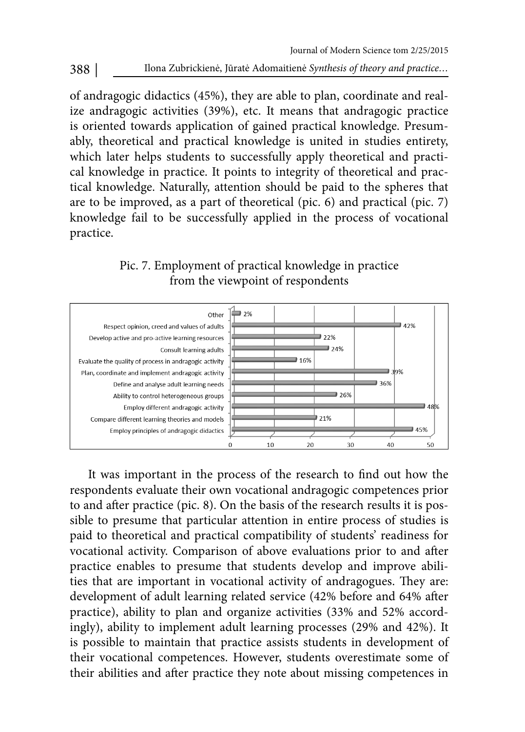of andragogic didactics (45%), they are able to plan, coordinate and realize andragogic activities (39%), etc. It means that andragogic practice is oriented towards application of gained practical knowledge. Presumably, theoretical and practical knowledge is united in studies entirety, which later helps students to successfully apply theoretical and practical knowledge in practice. It points to integrity of theoretical and practical knowledge. Naturally, attention should be paid to the spheres that are to be improved, as a part of theoretical (pic. 6) and practical (pic. 7) knowledge fail to be successfully applied in the process of vocational practice.

Pic. 7. Employment of practical knowledge in practice from the viewpoint of respondents



It was important in the process of the research to find out how the respondents evaluate their own vocational andragogic competences prior to and after practice (pic. 8). On the basis of the research results it is possible to presume that particular attention in entire process of studies is paid to theoretical and practical compatibility of students' readiness for vocational activity. Comparison of above evaluations prior to and after practice enables to presume that students develop and improve abilities that are important in vocational activity of andragogues. They are: development of adult learning related service (42% before and 64% after practice), ability to plan and organize activities (33% and 52% accordingly), ability to implement adult learning processes (29% and 42%). It is possible to maintain that practice assists students in development of their vocational competences. However, students overestimate some of their abilities and after practice they note about missing competences in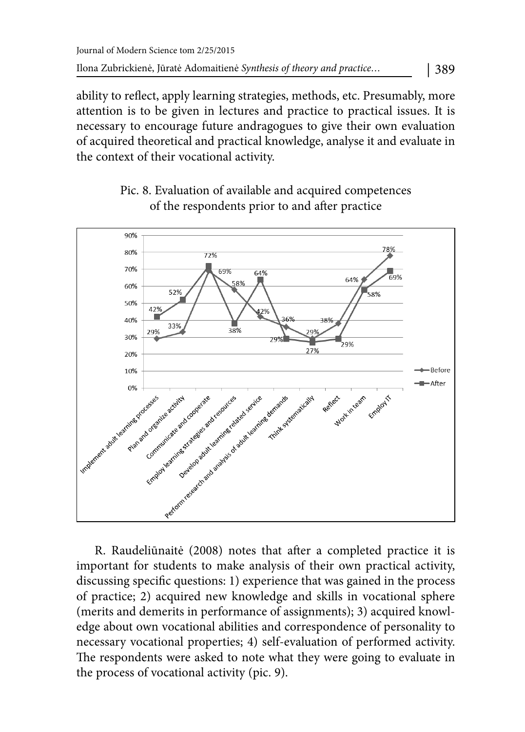ability to reflect, apply learning strategies, methods, etc. Presumably, more attention is to be given in lectures and practice to practical issues. It is necessary to encourage future andragogues to give their own evaluation of acquired theoretical and practical knowledge, analyse it and evaluate in the context of their vocational activity.



Pic. 8. Evaluation of available and acquired competences of the respondents prior to and after practice

R. Raudeliūnaitė (2008) notes that after a completed practice it is important for students to make analysis of their own practical activity, discussing specific questions: 1) experience that was gained in the process of practice; 2) acquired new knowledge and skills in vocational sphere (merits and demerits in performance of assignments); 3) acquired knowledge about own vocational abilities and correspondence of personality to necessary vocational properties; 4) self-evaluation of performed activity. The respondents were asked to note what they were going to evaluate in the process of vocational activity (pic. 9).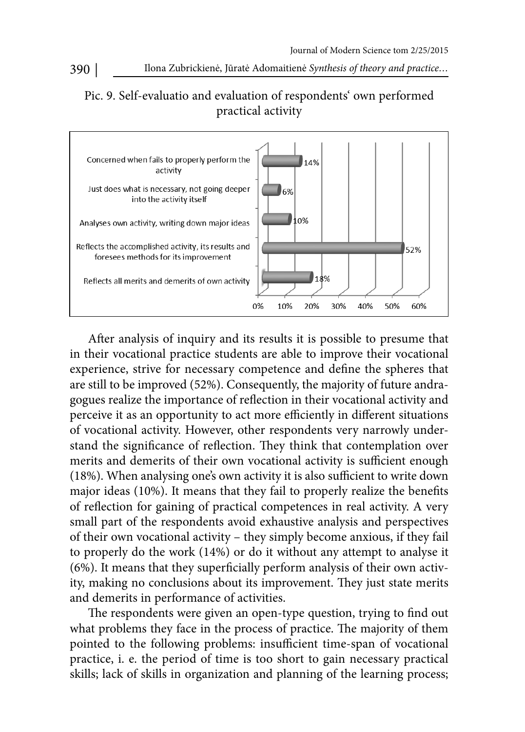# Pic. 9. Self-evaluatio and evaluation of respondents' own performed practical activity



After analysis of inquiry and its results it is possible to presume that in their vocational practice students are able to improve their vocational experience, strive for necessary competence and define the spheres that are still to be improved (52%). Consequently, the majority of future andragogues realize the importance of reflection in their vocational activity and perceive it as an opportunity to act more efficiently in different situations of vocational activity. However, other respondents very narrowly understand the significance of reflection. They think that contemplation over merits and demerits of their own vocational activity is sufficient enough (18%). When analysing one's own activity it is also sufficient to write down major ideas  $(10%)$ . It means that they fail to properly realize the benefits of reflection for gaining of practical competences in real activity. A very small part of the respondents avoid exhaustive analysis and perspectives of their own vocational activity – they simply become anxious, if they fail to properly do the work (14%) or do it without any attempt to analyse it (6%). It means that they superficially perform analysis of their own activity, making no conclusions about its improvement. They just state merits and demerits in performance of activities.

The respondents were given an open-type question, trying to find out what problems they face in the process of practice. The majority of them pointed to the following problems: insufficient time-span of vocational practice, i. e. the period of time is too short to gain necessary practical skills; lack of skills in organization and planning of the learning process;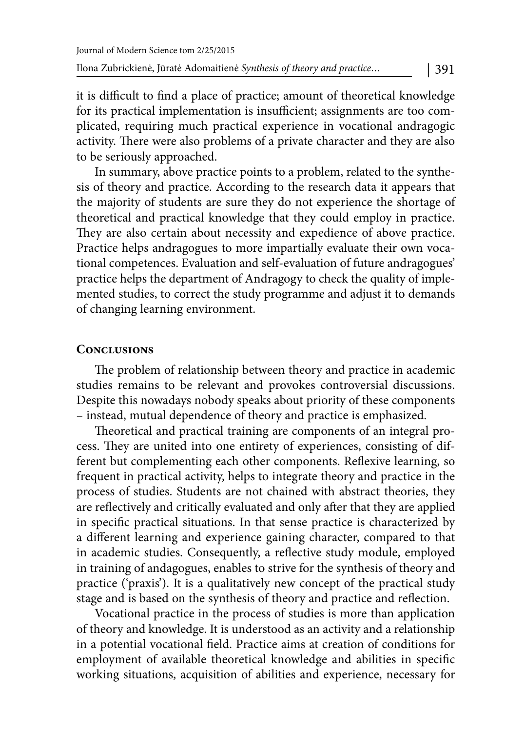it is difficult to find a place of practice; amount of theoretical knowledge for its practical implementation is insufficient; assignments are too complicated, requiring much practical experience in vocational andragogic activity. There were also problems of a private character and they are also to be seriously approached.

In summary, above practice points to a problem, related to the synthesis of theory and practice. According to the research data it appears that the majority of students are sure they do not experience the shortage of theoretical and practical knowledge that they could employ in practice. They are also certain about necessity and expedience of above practice. Practice helps andragogues to more impartially evaluate their own vocational competences. Evaluation and self-evaluation of future andragogues' practice helps the department of Andragogy to check the quality of implemented studies, to correct the study programme and adjust it to demands of changing learning environment.

#### **Conclusions**

The problem of relationship between theory and practice in academic studies remains to be relevant and provokes controversial discussions. Despite this nowadays nobody speaks about priority of these components – instead, mutual dependence of theory and practice is emphasized.

Theoretical and practical training are components of an integral process. They are united into one entirety of experiences, consisting of different but complementing each other components. Reflexive learning, so frequent in practical activity, helps to integrate theory and practice in the process of studies. Students are not chained with abstract theories, they are reflectively and critically evaluated and only after that they are applied in specific practical situations. In that sense practice is characterized by a different learning and experience gaining character, compared to that in academic studies. Consequently, a reflective study module, employed in training of andagogues, enables to strive for the synthesis of theory and practice ('praxis'). It is a qualitatively new concept of the practical study stage and is based on the synthesis of theory and practice and reflection.

Vocational practice in the process of studies is more than application of theory and knowledge. It is understood as an activity and a relationship in a potential vocational field. Practice aims at creation of conditions for employment of available theoretical knowledge and abilities in specific working situations, acquisition of abilities and experience, necessary for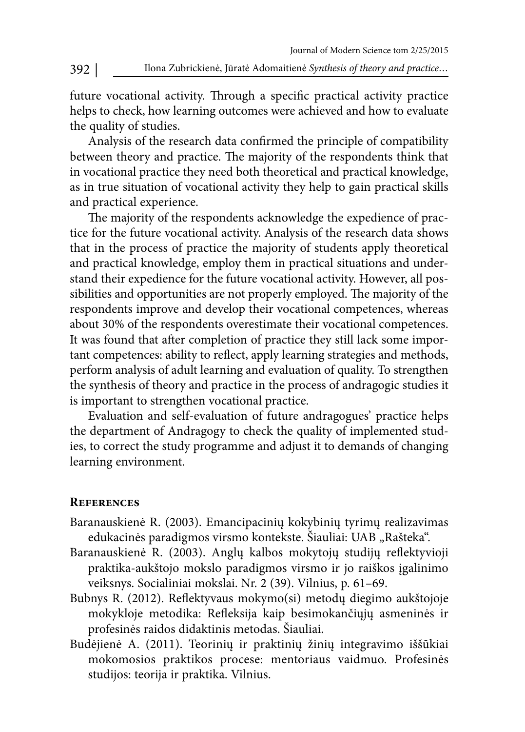future vocational activity. Through a specific practical activity practice helps to check, how learning outcomes were achieved and how to evaluate the quality of studies.

Analysis of the research data confirmed the principle of compatibility between theory and practice. The majority of the respondents think that in vocational practice they need both theoretical and practical knowledge, as in true situation of vocational activity they help to gain practical skills and practical experience.

The majority of the respondents acknowledge the expedience of practice for the future vocational activity. Analysis of the research data shows that in the process of practice the majority of students apply theoretical and practical knowledge, employ them in practical situations and understand their expedience for the future vocational activity. However, all possibilities and opportunities are not properly employed. The majority of the respondents improve and develop their vocational competences, whereas about 30% of the respondents overestimate their vocational competences. It was found that after completion of practice they still lack some important competences: ability to reflect, apply learning strategies and methods, perform analysis of adult learning and evaluation of quality. To strengthen the synthesis of theory and practice in the process of andragogic studies it is important to strengthen vocational practice.

Evaluation and self-evaluation of future andragogues' practice helps the department of Andragogy to check the quality of implemented studies, to correct the study programme and adjust it to demands of changing learning environment.

### **References**

- Baranauskienė R. (2003). Emancipacinių kokybinių tyrimų realizavimas edukacinės paradigmos virsmo kontekste. Šiauliai: UAB "Rašteka".
- Baranauskienė R. (2003). Anglų kalbos mokytojų studijų reflektyvioji praktika-aukštojo mokslo paradigmos virsmo ir jo raiškos įgalinimo veiksnys. Socialiniai mokslai. Nr. 2 (39). Vilnius, p. 61–69.
- Bubnys R. (2012). Reflektyvaus mokymo(si) metodų diegimo aukštojoje mokykloje metodika: Refleksija kaip besimokančiųjų asmeninės ir profesinės raidos didaktinis metodas. Šiauliai.
- Budėjienė A. (2011). Teorinių ir praktinių žinių integravimo iššūkiai mokomosios praktikos procese: mentoriaus vaidmuo. Profesinės studijos: teorija ir praktika. Vilnius.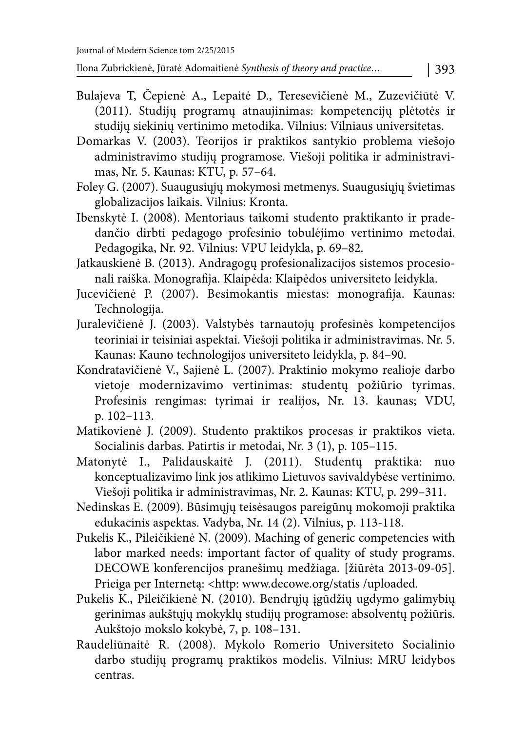Ilona Zubrickienė, Jūratė Adomaitienė Synthesis of theory and practice… | 393

- Bulajeva T, Čepienė A., Lepaitė D., Teresevičienė M., Zuzevičiūtė V. (2011). Studijų programų atnaujinimas: kompetencijų plėtotės ir studijų siekinių vertinimo metodika. Vilnius: Vilniaus universitetas.
- Domarkas V. (2003). Teorijos ir praktikos santykio problema viešojo administravimo studijų programose. Viešoji politika ir administravimas, Nr. 5. Kaunas: KTU, p. 57–64.
- Foley G. (2007). Suaugusiųjų mokymosi metmenys. Suaugusiųjų švietimas globalizacijos laikais. Vilnius: Kronta.
- Ibenskytė I. (2008). Mentoriaus taikomi studento praktikanto ir pradedančio dirbti pedagogo profesinio tobulėjimo vertinimo metodai. Pedagogika, Nr. 92. Vilnius: VPU leidykla, p. 69–82.
- Jatkauskienė B. (2013). Andragogų profesionalizacijos sistemos procesionali raiška. Monografija. Klaipėda: Klaipėdos universiteto leidykla.
- Jucevičienė P. (2007). Besimokantis miestas: monografija. Kaunas: Technologija.
- Juralevičienė J. (2003). Valstybės tarnautojų profesinės kompetencijos teoriniai ir teisiniai aspektai. Viešoji politika ir administravimas. Nr. 5. Kaunas: Kauno technologijos universiteto leidykla, p. 84–90.
- Kondratavičienė V., Sajienė L. (2007). Praktinio mokymo realioje darbo vietoje modernizavimo vertinimas: studentų požiūrio tyrimas. Profesinis rengimas: tyrimai ir realijos, Nr. 13. kaunas; VDU, p. 102–113.
- Matikovienė J. (2009). Studento praktikos procesas ir praktikos vieta. Socialinis darbas. Patirtis ir metodai, Nr. 3 (1), p. 105–115.
- Matonytė I., Palidauskaitė J. (2011). Studentų praktika: nuo konceptualizavimo link jos atlikimo Lietuvos savivaldybėse vertinimo. Viešoji politika ir administravimas, Nr. 2. Kaunas: KTU, p. 299–311.
- Nedinskas E. (2009). Būsimųjų teisėsaugos pareigūnų mokomoji praktika edukacinis aspektas. Vadyba, Nr. 14 (2). Vilnius, p. 113-118.
- Pukelis K., Pileičikienė N. (2009). Maching of generic competencies with labor marked needs: important factor of quality of study programs. DECOWE konferencijos pranešimų medžiaga. [žiūrėta 2013-09-05]. Prieiga per Internetą: < http: www.decowe.org/statis /uploaded.
- Pukelis K., Pileičikienė N. (2010). Bendrųjų įgūdžių ugdymo galimybių gerinimas aukštųjų mokyklų studijų programose: absolventų požiūris. Aukštojo mokslo kokybė, 7, p. 108–131.
- Raudeliūnaitė R. (2008). Mykolo Romerio Universiteto Socialinio darbo studijų programų praktikos modelis. Vilnius: MRU leidybos centras.